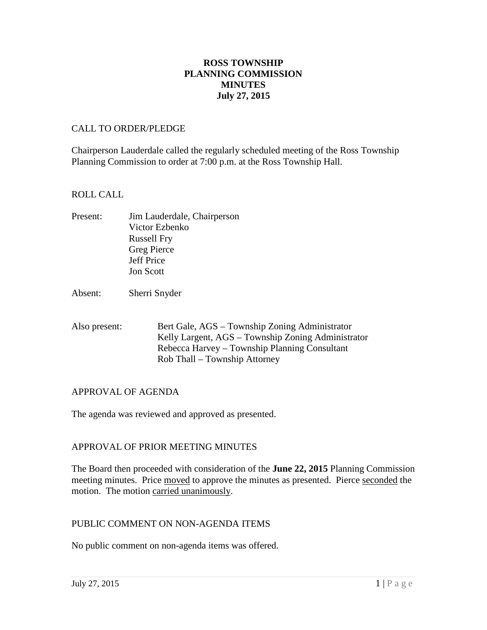# **ROSS TOWNSHIP PLANNING COMMISSION MINUTES July 27, 2015**

### CALL TO ORDER/PLEDGE

Chairperson Lauderdale called the regularly scheduled meeting of the Ross Township Planning Commission to order at 7:00 p.m. at the Ross Township Hall.

### ROLL CALL

- Present: Jim Lauderdale, Chairperson Victor Ezbenko Russell Fry Greg Pierce Jeff Price Jon Scott
- Absent: Sherri Snyder
- Also present: Bert Gale, AGS Township Zoning Administrator Kelly Largent, AGS – Township Zoning Administrator Rebecca Harvey – Township Planning Consultant Rob Thall – Township Attorney

# APPROVAL OF AGENDA

The agenda was reviewed and approved as presented.

# APPROVAL OF PRIOR MEETING MINUTES

The Board then proceeded with consideration of the **June 22, 2015** Planning Commission meeting minutes. Price moved to approve the minutes as presented. Pierce seconded the motion. The motion carried unanimously.

#### PUBLIC COMMENT ON NON-AGENDA ITEMS

No public comment on non-agenda items was offered.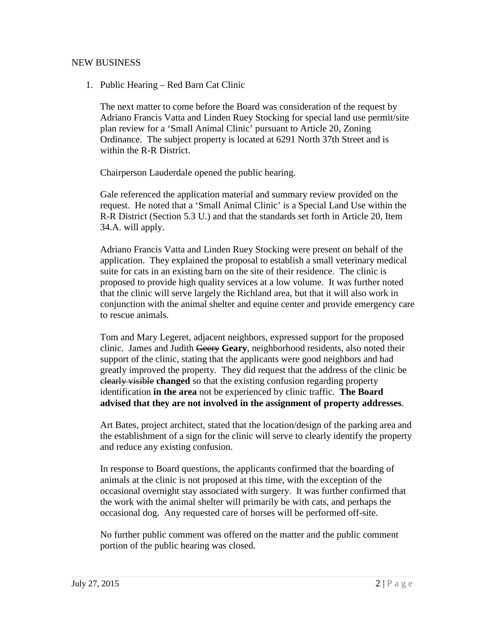#### NEW BUSINESS

1. Public Hearing – Red Barn Cat Clinic

The next matter to come before the Board was consideration of the request by Adriano Francis Vatta and Linden Ruey Stocking for special land use permit/site plan review for a 'Small Animal Clinic' pursuant to Article 20, Zoning Ordinance. The subject property is located at 6291 North 37th Street and is within the R-R District.

Chairperson Lauderdale opened the public hearing.

Gale referenced the application material and summary review provided on the request. He noted that a 'Small Animal Clinic' is a Special Land Use within the R-R District (Section 5.3 U.) and that the standards set forth in Article 20, Item 34.A. will apply.

Adriano Francis Vatta and Linden Ruey Stocking were present on behalf of the application. They explained the proposal to establish a small veterinary medical suite for cats in an existing barn on the site of their residence. The clinic is proposed to provide high quality services at a low volume. It was further noted that the clinic will serve largely the Richland area, but that it will also work in conjunction with the animal shelter and equine center and provide emergency care to rescue animals.

Tom and Mary Legeret, adjacent neighbors, expressed support for the proposed clinic. James and Judith Geery **Geary**, neighborhood residents, also noted their support of the clinic, stating that the applicants were good neighbors and had greatly improved the property. They did request that the address of the clinic be clearly visible **changed** so that the existing confusion regarding property identification **in the area** not be experienced by clinic traffic. **The Board advised that they are not involved in the assignment of property addresses**.

Art Bates, project architect, stated that the location/design of the parking area and the establishment of a sign for the clinic will serve to clearly identify the property and reduce any existing confusion.

In response to Board questions, the applicants confirmed that the boarding of animals at the clinic is not proposed at this time, with the exception of the occasional overnight stay associated with surgery. It was further confirmed that the work with the animal shelter will primarily be with cats, and perhaps the occasional dog. Any requested care of horses will be performed off-site.

No further public comment was offered on the matter and the public comment portion of the public hearing was closed.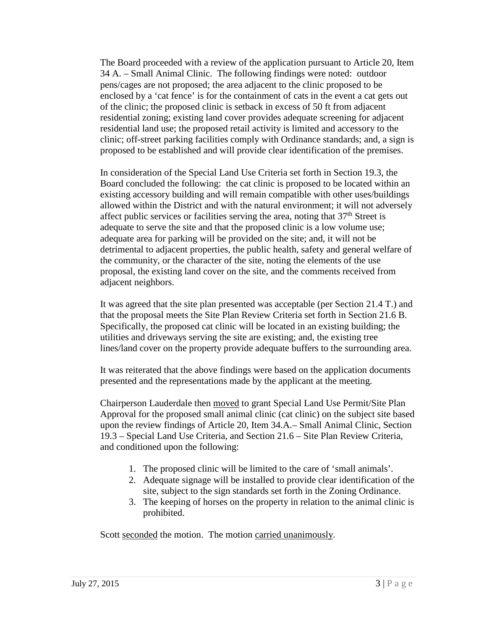The Board proceeded with a review of the application pursuant to Article 20, Item 34 A. – Small Animal Clinic. The following findings were noted: outdoor pens/cages are not proposed; the area adjacent to the clinic proposed to be enclosed by a 'cat fence' is for the containment of cats in the event a cat gets out of the clinic; the proposed clinic is setback in excess of 50 ft from adjacent residential zoning; existing land cover provides adequate screening for adjacent residential land use; the proposed retail activity is limited and accessory to the clinic; off-street parking facilities comply with Ordinance standards; and, a sign is proposed to be established and will provide clear identification of the premises.

In consideration of the Special Land Use Criteria set forth in Section 19.3, the Board concluded the following: the cat clinic is proposed to be located within an existing accessory building and will remain compatible with other uses/buildings allowed within the District and with the natural environment; it will not adversely affect public services or facilities serving the area, noting that  $37<sup>th</sup>$  Street is adequate to serve the site and that the proposed clinic is a low volume use; adequate area for parking will be provided on the site; and, it will not be detrimental to adjacent properties, the public health, safety and general welfare of the community, or the character of the site, noting the elements of the use proposal, the existing land cover on the site, and the comments received from adjacent neighbors.

It was agreed that the site plan presented was acceptable (per Section 21.4 T.) and that the proposal meets the Site Plan Review Criteria set forth in Section 21.6 B. Specifically, the proposed cat clinic will be located in an existing building; the utilities and driveways serving the site are existing; and, the existing tree lines/land cover on the property provide adequate buffers to the surrounding area.

It was reiterated that the above findings were based on the application documents presented and the representations made by the applicant at the meeting.

Chairperson Lauderdale then moved to grant Special Land Use Permit/Site Plan Approval for the proposed small animal clinic (cat clinic) on the subject site based upon the review findings of Article 20, Item 34.A.– Small Animal Clinic, Section 19.3 – Special Land Use Criteria, and Section 21.6 – Site Plan Review Criteria, and conditioned upon the following:

- 1. The proposed clinic will be limited to the care of 'small animals'.
- 2. Adequate signage will be installed to provide clear identification of the site, subject to the sign standards set forth in the Zoning Ordinance.
- 3. The keeping of horses on the property in relation to the animal clinic is prohibited.

Scott seconded the motion. The motion carried unanimously.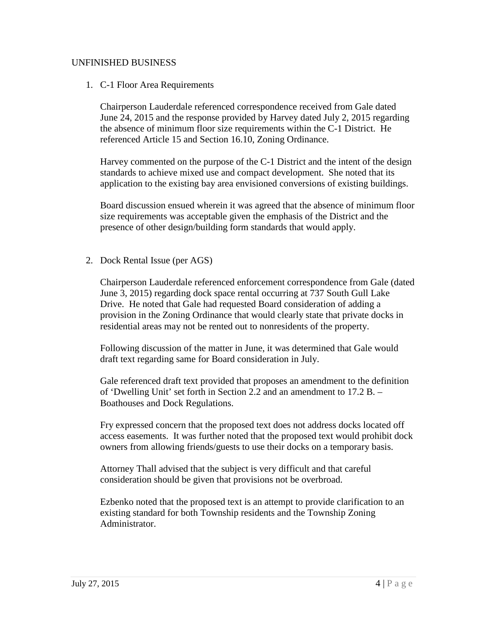### UNFINISHED BUSINESS

1. C-1 Floor Area Requirements

Chairperson Lauderdale referenced correspondence received from Gale dated June 24, 2015 and the response provided by Harvey dated July 2, 2015 regarding the absence of minimum floor size requirements within the C-1 District. He referenced Article 15 and Section 16.10, Zoning Ordinance.

Harvey commented on the purpose of the C-1 District and the intent of the design standards to achieve mixed use and compact development. She noted that its application to the existing bay area envisioned conversions of existing buildings.

Board discussion ensued wherein it was agreed that the absence of minimum floor size requirements was acceptable given the emphasis of the District and the presence of other design/building form standards that would apply.

2. Dock Rental Issue (per AGS)

Chairperson Lauderdale referenced enforcement correspondence from Gale (dated June 3, 2015) regarding dock space rental occurring at 737 South Gull Lake Drive. He noted that Gale had requested Board consideration of adding a provision in the Zoning Ordinance that would clearly state that private docks in residential areas may not be rented out to nonresidents of the property.

Following discussion of the matter in June, it was determined that Gale would draft text regarding same for Board consideration in July.

Gale referenced draft text provided that proposes an amendment to the definition of 'Dwelling Unit' set forth in Section 2.2 and an amendment to 17.2 B. – Boathouses and Dock Regulations.

Fry expressed concern that the proposed text does not address docks located off access easements. It was further noted that the proposed text would prohibit dock owners from allowing friends/guests to use their docks on a temporary basis.

Attorney Thall advised that the subject is very difficult and that careful consideration should be given that provisions not be overbroad.

Ezbenko noted that the proposed text is an attempt to provide clarification to an existing standard for both Township residents and the Township Zoning Administrator.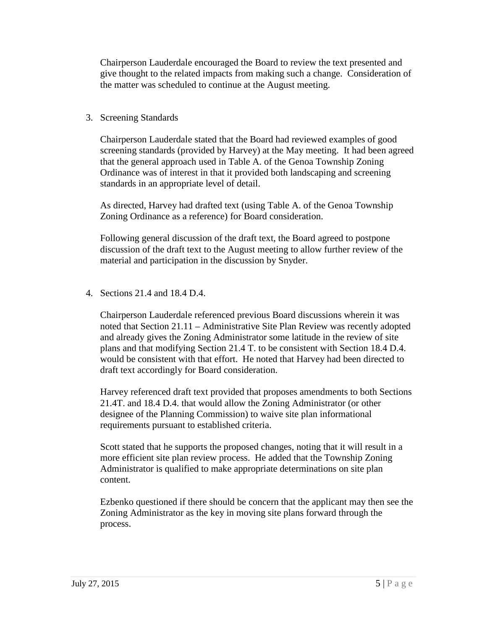Chairperson Lauderdale encouraged the Board to review the text presented and give thought to the related impacts from making such a change. Consideration of the matter was scheduled to continue at the August meeting.

# 3. Screening Standards

Chairperson Lauderdale stated that the Board had reviewed examples of good screening standards (provided by Harvey) at the May meeting. It had been agreed that the general approach used in Table A. of the Genoa Township Zoning Ordinance was of interest in that it provided both landscaping and screening standards in an appropriate level of detail.

As directed, Harvey had drafted text (using Table A. of the Genoa Township Zoning Ordinance as a reference) for Board consideration.

Following general discussion of the draft text, the Board agreed to postpone discussion of the draft text to the August meeting to allow further review of the material and participation in the discussion by Snyder.

4. Sections 21.4 and 18.4 D.4.

Chairperson Lauderdale referenced previous Board discussions wherein it was noted that Section 21.11 – Administrative Site Plan Review was recently adopted and already gives the Zoning Administrator some latitude in the review of site plans and that modifying Section 21.4 T. to be consistent with Section 18.4 D.4. would be consistent with that effort. He noted that Harvey had been directed to draft text accordingly for Board consideration.

Harvey referenced draft text provided that proposes amendments to both Sections 21.4T. and 18.4 D.4. that would allow the Zoning Administrator (or other designee of the Planning Commission) to waive site plan informational requirements pursuant to established criteria.

Scott stated that he supports the proposed changes, noting that it will result in a more efficient site plan review process. He added that the Township Zoning Administrator is qualified to make appropriate determinations on site plan content.

Ezbenko questioned if there should be concern that the applicant may then see the Zoning Administrator as the key in moving site plans forward through the process.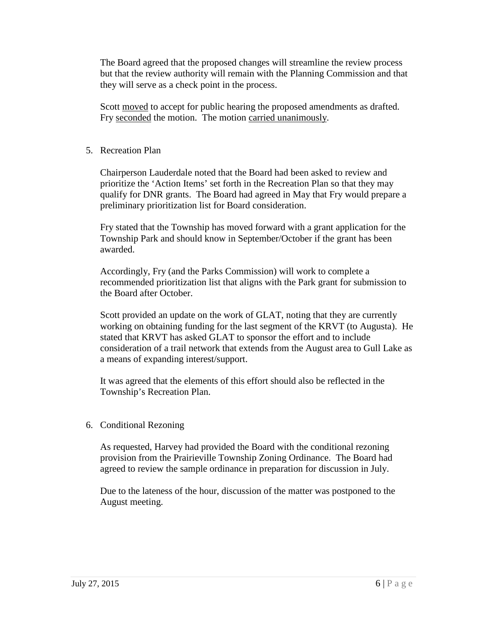The Board agreed that the proposed changes will streamline the review process but that the review authority will remain with the Planning Commission and that they will serve as a check point in the process.

Scott moved to accept for public hearing the proposed amendments as drafted. Fry seconded the motion. The motion carried unanimously.

# 5. Recreation Plan

Chairperson Lauderdale noted that the Board had been asked to review and prioritize the 'Action Items' set forth in the Recreation Plan so that they may qualify for DNR grants. The Board had agreed in May that Fry would prepare a preliminary prioritization list for Board consideration.

Fry stated that the Township has moved forward with a grant application for the Township Park and should know in September/October if the grant has been awarded.

Accordingly, Fry (and the Parks Commission) will work to complete a recommended prioritization list that aligns with the Park grant for submission to the Board after October.

Scott provided an update on the work of GLAT, noting that they are currently working on obtaining funding for the last segment of the KRVT (to Augusta). He stated that KRVT has asked GLAT to sponsor the effort and to include consideration of a trail network that extends from the August area to Gull Lake as a means of expanding interest/support.

It was agreed that the elements of this effort should also be reflected in the Township's Recreation Plan.

# 6. Conditional Rezoning

As requested, Harvey had provided the Board with the conditional rezoning provision from the Prairieville Township Zoning Ordinance. The Board had agreed to review the sample ordinance in preparation for discussion in July.

Due to the lateness of the hour, discussion of the matter was postponed to the August meeting.